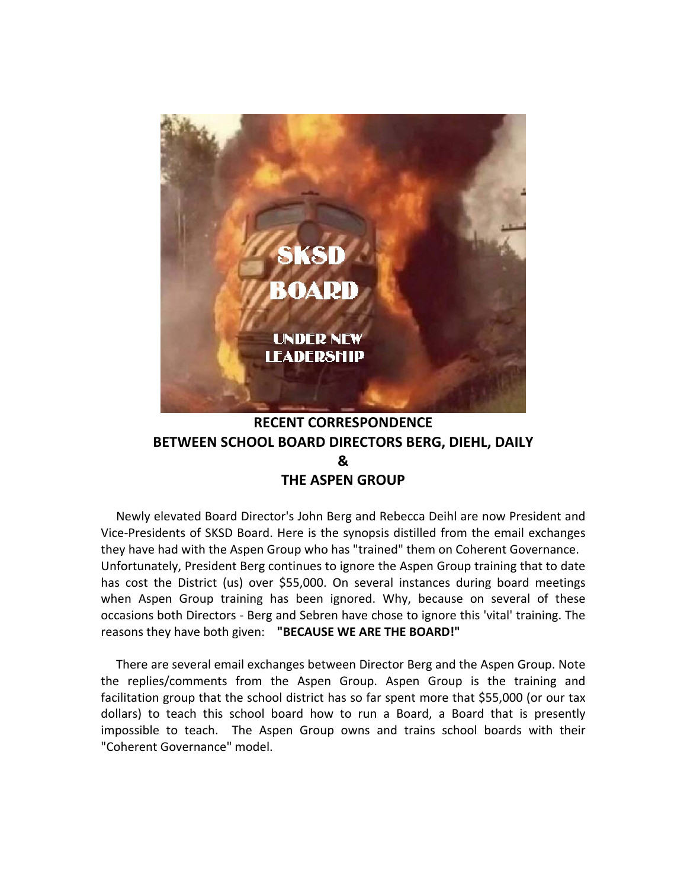

# **RECENT CORRESPONDENCE BETWEEN SCHOOL BOARD DIRECTORS BERG, DIEHL, DAILY & THE ASPEN GROUP**

 Newly elevated Board Director's John Berg and Rebecca Deihl are now President and Vice‐Presidents of SKSD Board. Here is the synopsis distilled from the email exchanges they have had with the Aspen Group who has "trained" them on Coherent Governance. Unfortunately, President Berg continues to ignore the Aspen Group training that to date has cost the District (us) over \$55,000. On several instances during board meetings when Aspen Group training has been ignored. Why, because on several of these occasions both Directors ‐ Berg and Sebren have chose to ignore this 'vital' training. The reasons they have both given:  **"BECAUSE WE ARE THE BOARD!"**

 There are several email exchanges between Director Berg and the Aspen Group. Note the replies/comments from the Aspen Group. Aspen Group is the training and facilitation group that the school district has so far spent more that \$55,000 (or our tax dollars) to teach this school board how to run a Board, a Board that is presently impossible to teach. The Aspen Group owns and trains school boards with their "Coherent Governance" model.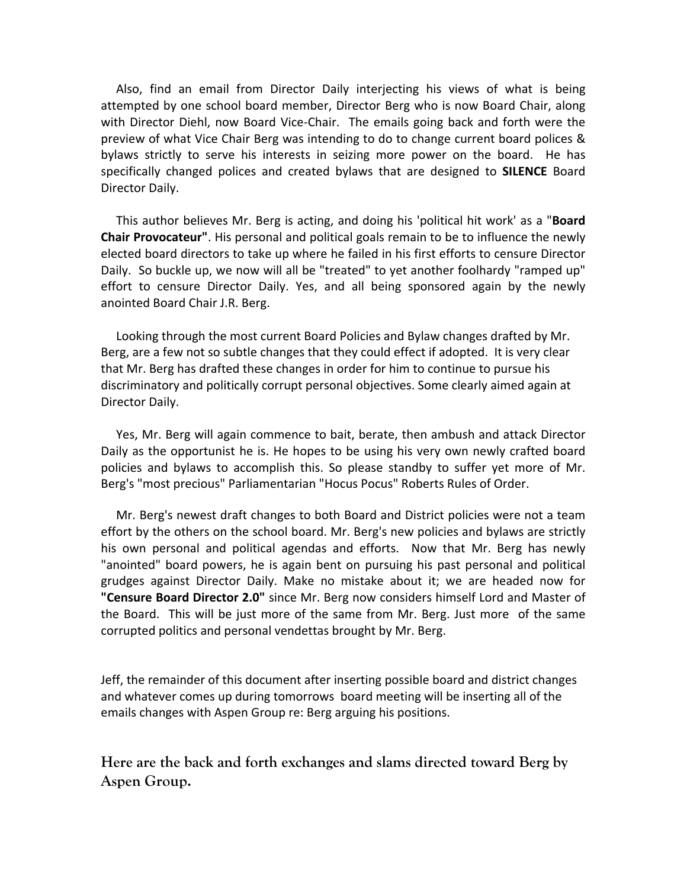Also, find an email from Director Daily interjecting his views of what is being attempted by one school board member, Director Berg who is now Board Chair, along with Director Diehl, now Board Vice‐Chair. The emails going back and forth were the preview of what Vice Chair Berg was intending to do to change current board polices & bylaws strictly to serve his interests in seizing more power on the board. He has specifically changed polices and created bylaws that are designed to **SILENCE** Board Director Daily.

 This author believes Mr. Berg is acting, and doing his 'political hit work' as a "**Board Chair Provocateur"**. His personal and political goals remain to be to influence the newly elected board directors to take up where he failed in his first efforts to censure Director Daily. So buckle up, we now will all be "treated" to yet another foolhardy "ramped up" effort to censure Director Daily. Yes, and all being sponsored again by the newly anointed Board Chair J.R. Berg.

 Looking through the most current Board Policies and Bylaw changes drafted by Mr. Berg, are a few not so subtle changes that they could effect if adopted. It is very clear that Mr. Berg has drafted these changes in order for him to continue to pursue his discriminatory and politically corrupt personal objectives. Some clearly aimed again at Director Daily.

 Yes, Mr. Berg will again commence to bait, berate, then ambush and attack Director Daily as the opportunist he is. He hopes to be using his very own newly crafted board policies and bylaws to accomplish this. So please standby to suffer yet more of Mr. Berg's "most precious" Parliamentarian "Hocus Pocus" Roberts Rules of Order.

 Mr. Berg's newest draft changes to both Board and District policies were not a team effort by the others on the school board. Mr. Berg's new policies and bylaws are strictly his own personal and political agendas and efforts. Now that Mr. Berg has newly "anointed" board powers, he is again bent on pursuing his past personal and political grudges against Director Daily. Make no mistake about it; we are headed now for **"Censure Board Director 2.0"** since Mr. Berg now considers himself Lord and Master of the Board. This will be just more of the same from Mr. Berg. Just more of the same corrupted politics and personal vendettas brought by Mr. Berg.

Jeff, the remainder of this document after inserting possible board and district changes and whatever comes up during tomorrows board meeting will be inserting all of the emails changes with Aspen Group re: Berg arguing his positions.

**Here are the back and forth exchanges and slams directed toward Berg by Aspen Group.**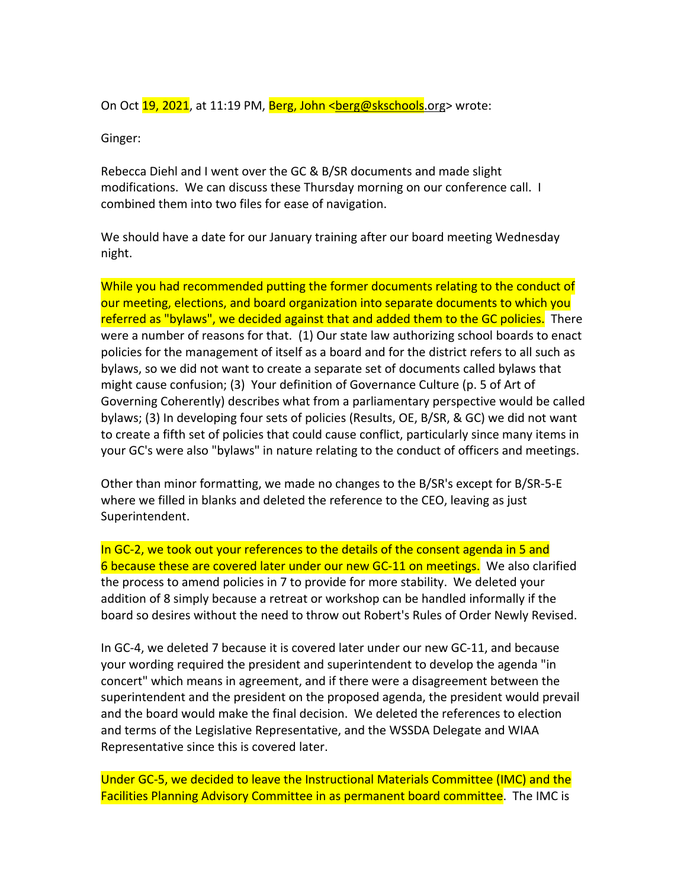On Oct 19, 2021, at 11:19 PM, Berg, John <berg@skschools.org> wrote:

Ginger:

Rebecca Diehl and I went over the GC & B/SR documents and made slight modifications. We can discuss these Thursday morning on our conference call. I combined them into two files for ease of navigation.

We should have a date for our January training after our board meeting Wednesday night.

While you had recommended putting the former documents relating to the conduct of our meeting, elections, and board organization into separate documents to which you referred as "bylaws", we decided against that and added them to the GC policies. There were a number of reasons for that. (1) Our state law authorizing school boards to enact policies for the management of itself as a board and for the district refers to all such as bylaws, so we did not want to create a separate set of documents called bylaws that might cause confusion; (3) Your definition of Governance Culture (p. 5 of Art of Governing Coherently) describes what from a parliamentary perspective would be called bylaws; (3) In developing four sets of policies (Results, OE, B/SR, & GC) we did not want to create a fifth set of policies that could cause conflict, particularly since many items in your GC's were also "bylaws" in nature relating to the conduct of officers and meetings.

Other than minor formatting, we made no changes to the B/SR's except for B/SR‐5‐E where we filled in blanks and deleted the reference to the CEO, leaving as just Superintendent.

In GC-2, we took out your references to the details of the consent agenda in 5 and 6 because these are covered later under our new GC‐11 on meetings. We also clarified the process to amend policies in 7 to provide for more stability. We deleted your addition of 8 simply because a retreat or workshop can be handled informally if the board so desires without the need to throw out Robert's Rules of Order Newly Revised.

In GC‐4, we deleted 7 because it is covered later under our new GC‐11, and because your wording required the president and superintendent to develop the agenda "in concert" which means in agreement, and if there were a disagreement between the superintendent and the president on the proposed agenda, the president would prevail and the board would make the final decision. We deleted the references to election and terms of the Legislative Representative, and the WSSDA Delegate and WIAA Representative since this is covered later.

Under GC‐5, we decided to leave the Instructional Materials Committee (IMC) and the Facilities Planning Advisory Committee in as permanent board committee. The IMC is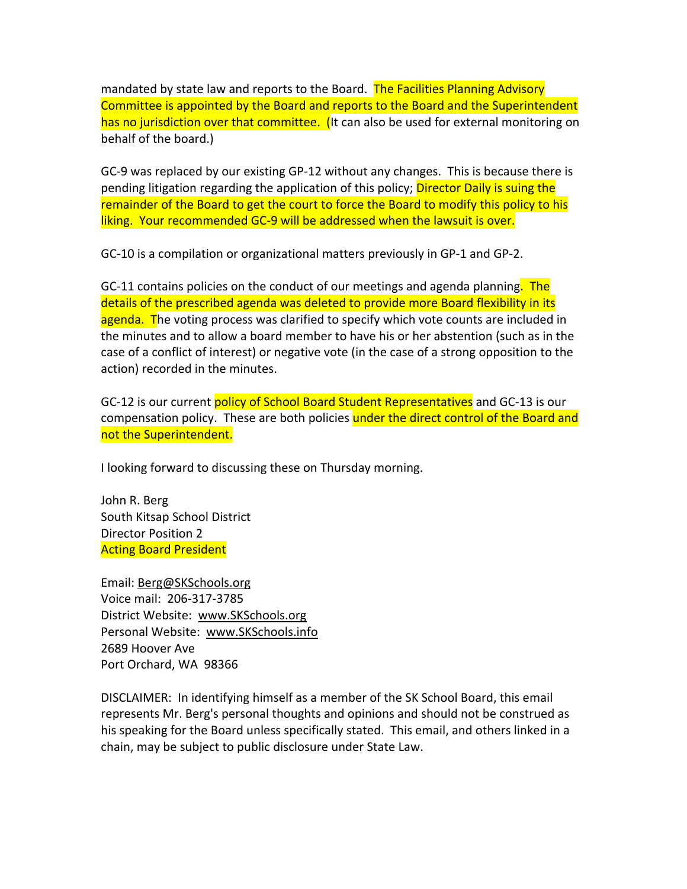mandated by state law and reports to the Board. The Facilities Planning Advisory Committee is appointed by the Board and reports to the Board and the Superintendent has no jurisdiction over that committee. (It can also be used for external monitoring on behalf of the board.)

GC‐9 was replaced by our existing GP‐12 without any changes. This is because there is pending litigation regarding the application of this policy; **Director Daily is suing the** remainder of the Board to get the court to force the Board to modify this policy to his liking. Your recommended GC-9 will be addressed when the lawsuit is over.

GC‐10 is a compilation or organizational matters previously in GP‐1 and GP‐2.

GC-11 contains policies on the conduct of our meetings and agenda planning. The details of the prescribed agenda was deleted to provide more Board flexibility in its agenda. The voting process was clarified to specify which vote counts are included in the minutes and to allow a board member to have his or her abstention (such as in the case of a conflict of interest) or negative vote (in the case of a strong opposition to the action) recorded in the minutes.

GC-12 is our current policy of School Board Student Representatives and GC-13 is our compensation policy. These are both policies under the direct control of the Board and not the Superintendent.

I looking forward to discussing these on Thursday morning.

John R. Berg South Kitsap School District Director Position 2 Acting Board President

Email: Berg@SKSchools.org Voice mail: 206‐317‐3785 District Website: www.SKSchools.org Personal Website: www.SKSchools.info 2689 Hoover Ave Port Orchard, WA 98366

DISCLAIMER: In identifying himself as a member of the SK School Board, this email represents Mr. Berg's personal thoughts and opinions and should not be construed as his speaking for the Board unless specifically stated. This email, and others linked in a chain, may be subject to public disclosure under State Law.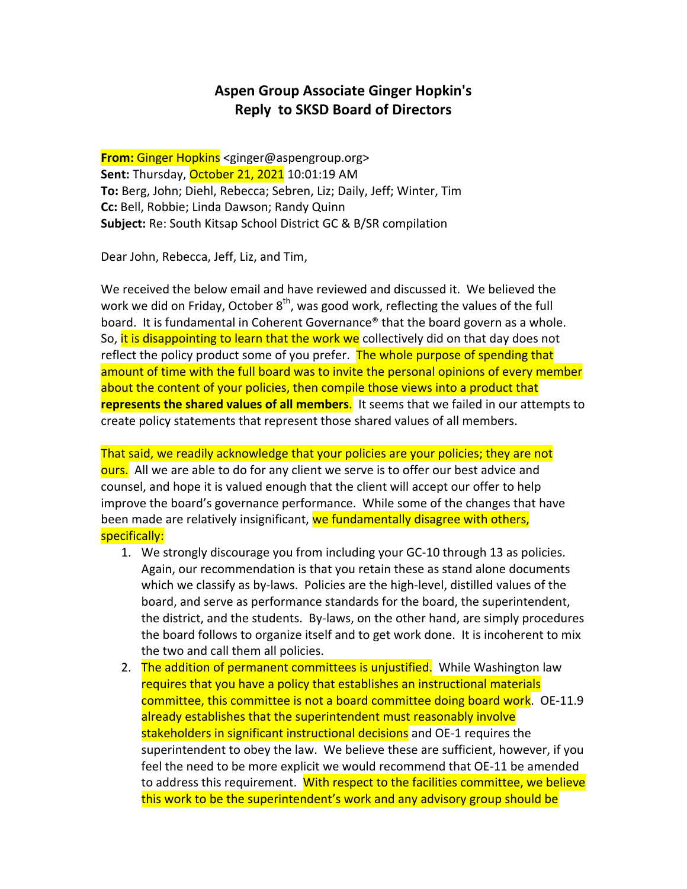## **Aspen Group Associate Ginger Hopkin's Reply to SKSD Board of Directors**

**From:** Ginger Hopkins <ginger@aspengroup.org> **Sent:** Thursday, October 21, 2021 10:01:19 AM **To:** Berg, John; Diehl, Rebecca; Sebren, Liz; Daily, Jeff; Winter, Tim **Cc:** Bell, Robbie; Linda Dawson; Randy Quinn **Subject:** Re: South Kitsap School District GC & B/SR compilation

Dear John, Rebecca, Jeff, Liz, and Tim,

We received the below email and have reviewed and discussed it. We believed the work we did on Friday, October  $8<sup>th</sup>$ , was good work, reflecting the values of the full board. It is fundamental in Coherent Governance® that the board govern as a whole. So, it is disappointing to learn that the work we collectively did on that day does not reflect the policy product some of you prefer. The whole purpose of spending that amount of time with the full board was to invite the personal opinions of every member about the content of your policies, then compile those views into a product that **represents the shared values of all members**. It seems that we failed in our attempts to create policy statements that represent those shared values of all members.

That said, we readily acknowledge that your policies are your policies; they are not ours. All we are able to do for any client we serve is to offer our best advice and counsel, and hope it is valued enough that the client will accept our offer to help improve the board's governance performance. While some of the changes that have been made are relatively insignificant, we fundamentally disagree with others, specifically:

- 1. We strongly discourage you from including your GC-10 through 13 as policies. Again, our recommendation is that you retain these as stand alone documents which we classify as by-laws. Policies are the high-level, distilled values of the board, and serve as performance standards for the board, the superintendent, the district, and the students. By‐laws, on the other hand, are simply procedures the board follows to organize itself and to get work done. It is incoherent to mix the two and call them all policies.
- 2. The addition of permanent committees is unjustified. While Washington law requires that you have a policy that establishes an instructional materials committee, this committee is not a board committee doing board work. OE-11.9 already establishes that the superintendent must reasonably involve stakeholders in significant instructional decisions and OE-1 requires the superintendent to obey the law. We believe these are sufficient, however, if you feel the need to be more explicit we would recommend that OE‐11 be amended to address this requirement. With respect to the facilities committee, we believe this work to be the superintendent's work and any advisory group should be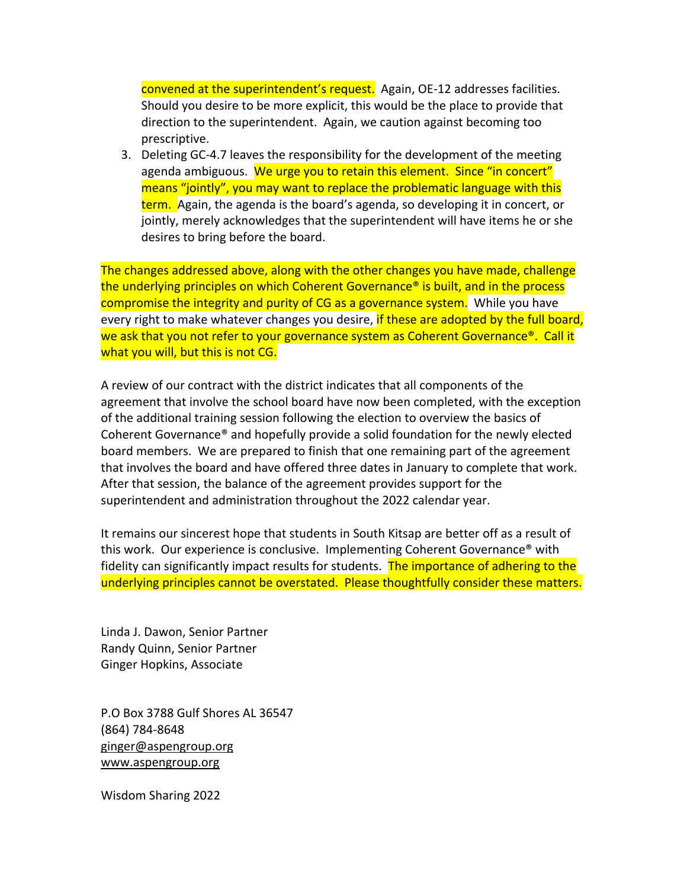convened at the superintendent's request. Again, OE-12 addresses facilities. Should you desire to be more explicit, this would be the place to provide that direction to the superintendent. Again, we caution against becoming too prescriptive.

3. Deleting GC‐4.7 leaves the responsibility for the development of the meeting agenda ambiguous. We urge you to retain this element. Since "in concert" means "jointly", you may want to replace the problematic language with this term. Again, the agenda is the board's agenda, so developing it in concert, or jointly, merely acknowledges that the superintendent will have items he or she desires to bring before the board.

The changes addressed above, along with the other changes you have made, challenge the underlying principles on which Coherent Governance® is built, and in the process compromise the integrity and purity of CG as a governance system. While you have every right to make whatever changes you desire, if these are adopted by the full board, we ask that you not refer to your governance system as Coherent Governance®. Call it what you will, but this is not CG.

A review of our contract with the district indicates that all components of the agreement that involve the school board have now been completed, with the exception of the additional training session following the election to overview the basics of Coherent Governance® and hopefully provide a solid foundation for the newly elected board members. We are prepared to finish that one remaining part of the agreement that involves the board and have offered three dates in January to complete that work. After that session, the balance of the agreement provides support for the superintendent and administration throughout the 2022 calendar year.

It remains our sincerest hope that students in South Kitsap are better off as a result of this work. Our experience is conclusive. Implementing Coherent Governance® with fidelity can significantly impact results for students. The importance of adhering to the underlying principles cannot be overstated. Please thoughtfully consider these matters.

Linda J. Dawon, Senior Partner Randy Quinn, Senior Partner Ginger Hopkins, Associate

P.O Box 3788 Gulf Shores AL 36547 (864) 784‐8648 ginger@aspengroup.org www.aspengroup.org

Wisdom Sharing 2022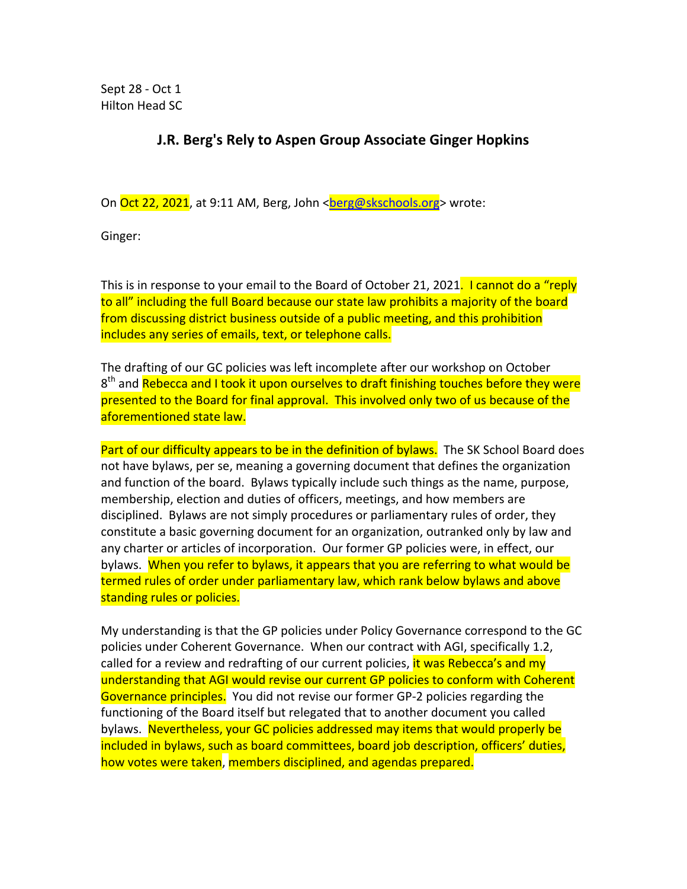Sept 28 ‐ Oct 1 Hilton Head SC

### **J.R. Berg's Rely to Aspen Group Associate Ginger Hopkins**

On Oct 22, 2021, at 9:11 AM, Berg, John <berg@skschools.org> wrote:

Ginger:

This is in response to your email to the Board of October 21, 2021. I cannot do a "reply to all" including the full Board because our state law prohibits a majority of the board from discussing district business outside of a public meeting, and this prohibition includes any series of emails, text, or telephone calls.

The drafting of our GC policies was left incomplete after our workshop on October 8<sup>th</sup> and Rebecca and I took it upon ourselves to draft finishing touches before they were presented to the Board for final approval. This involved only two of us because of the aforementioned state law.

Part of our difficulty appears to be in the definition of bylaws. The SK School Board does not have bylaws, per se, meaning a governing document that defines the organization and function of the board. Bylaws typically include such things as the name, purpose, membership, election and duties of officers, meetings, and how members are disciplined. Bylaws are not simply procedures or parliamentary rules of order, they constitute a basic governing document for an organization, outranked only by law and any charter or articles of incorporation. Our former GP policies were, in effect, our bylaws. When you refer to bylaws, it appears that you are referring to what would be termed rules of order under parliamentary law, which rank below bylaws and above standing rules or policies.

My understanding is that the GP policies under Policy Governance correspond to the GC policies under Coherent Governance. When our contract with AGI, specifically 1.2, called for a review and redrafting of our current policies, it was Rebecca's and my understanding that AGI would revise our current GP policies to conform with Coherent Governance principles. You did not revise our former GP-2 policies regarding the functioning of the Board itself but relegated that to another document you called bylaws. Nevertheless, your GC policies addressed may items that would properly be included in bylaws, such as board committees, board job description, officers' duties, how votes were taken, members disciplined, and agendas prepared.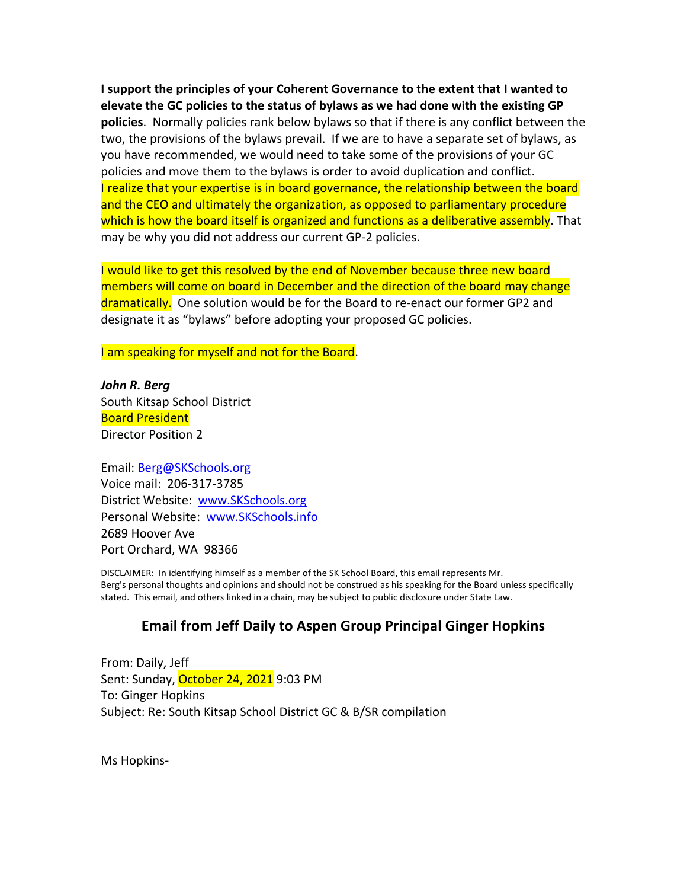**I support the principles of your Coherent Governance to the extent that I wanted to elevate the GC policies to the status of bylaws as we had done with the existing GP policies**. Normally policies rank below bylaws so that if there is any conflict between the two, the provisions of the bylaws prevail. If we are to have a separate set of bylaws, as you have recommended, we would need to take some of the provisions of your GC policies and move them to the bylaws is order to avoid duplication and conflict. I realize that your expertise is in board governance, the relationship between the board and the CEO and ultimately the organization, as opposed to parliamentary procedure which is how the board itself is organized and functions as a deliberative assembly. That may be why you did not address our current GP‐2 policies.

I would like to get this resolved by the end of November because three new board members will come on board in December and the direction of the board may change dramatically. One solution would be for the Board to re-enact our former GP2 and designate it as "bylaws" before adopting your proposed GC policies.

I am speaking for myself and not for the Board.

*John R. Berg* South Kitsap School District Board President Director Position 2

Email: Berg@SKSchools.org Voice mail: 206‐317‐3785 District Website: www.SKSchools.org Personal Website: www.SKSchools.info 2689 Hoover Ave Port Orchard, WA 98366

DISCLAIMER: In identifying himself as a member of the SK School Board, this email represents Mr. Berg's personal thoughts and opinions and should not be construed as his speaking for the Board unless specifically stated. This email, and others linked in a chain, may be subject to public disclosure under State Law.

## **Email from Jeff Daily to Aspen Group Principal Ginger Hopkins**

From: Daily, Jeff Sent: Sunday, October 24, 2021 9:03 PM To: Ginger Hopkins Subject: Re: South Kitsap School District GC & B/SR compilation

Ms Hopkins‐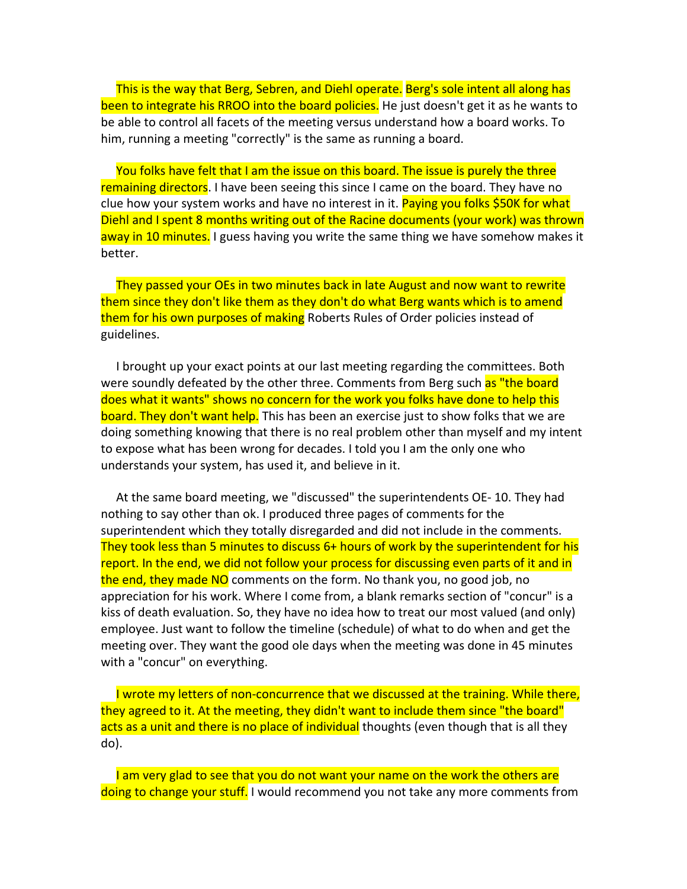This is the way that Berg, Sebren, and Diehl operate. Berg's sole intent all along has been to integrate his RROO into the board policies. He just doesn't get it as he wants to be able to control all facets of the meeting versus understand how a board works. To him, running a meeting "correctly" is the same as running a board.

 You folks have felt that I am the issue on this board. The issue is purely the three remaining directors. I have been seeing this since I came on the board. They have no clue how your system works and have no interest in it. Paying you folks \$50K for what Diehl and I spent 8 months writing out of the Racine documents (your work) was thrown away in 10 minutes. I guess having you write the same thing we have somehow makes it better.

 They passed your OEs in two minutes back in late August and now want to rewrite them since they don't like them as they don't do what Berg wants which is to amend them for his own purposes of making Roberts Rules of Order policies instead of guidelines.

 I brought up your exact points at our last meeting regarding the committees. Both were soundly defeated by the other three. Comments from Berg such as "the board does what it wants" shows no concern for the work you folks have done to help this board. They don't want help. This has been an exercise just to show folks that we are doing something knowing that there is no real problem other than myself and my intent to expose what has been wrong for decades. I told you I am the only one who understands your system, has used it, and believe in it.

 At the same board meeting, we "discussed" the superintendents OE‐ 10. They had nothing to say other than ok. I produced three pages of comments for the superintendent which they totally disregarded and did not include in the comments. They took less than 5 minutes to discuss 6+ hours of work by the superintendent for his report. In the end, we did not follow your process for discussing even parts of it and in the end, they made NO comments on the form. No thank you, no good job, no appreciation for his work. Where I come from, a blank remarks section of "concur" is a kiss of death evaluation. So, they have no idea how to treat our most valued (and only) employee. Just want to follow the timeline (schedule) of what to do when and get the meeting over. They want the good ole days when the meeting was done in 45 minutes with a "concur" on everything.

 I wrote my letters of non‐concurrence that we discussed at the training. While there, they agreed to it. At the meeting, they didn't want to include them since "the board" acts as a unit and there is no place of individual thoughts (even though that is all they do).

I am very glad to see that you do not want your name on the work the others are doing to change your stuff. I would recommend you not take any more comments from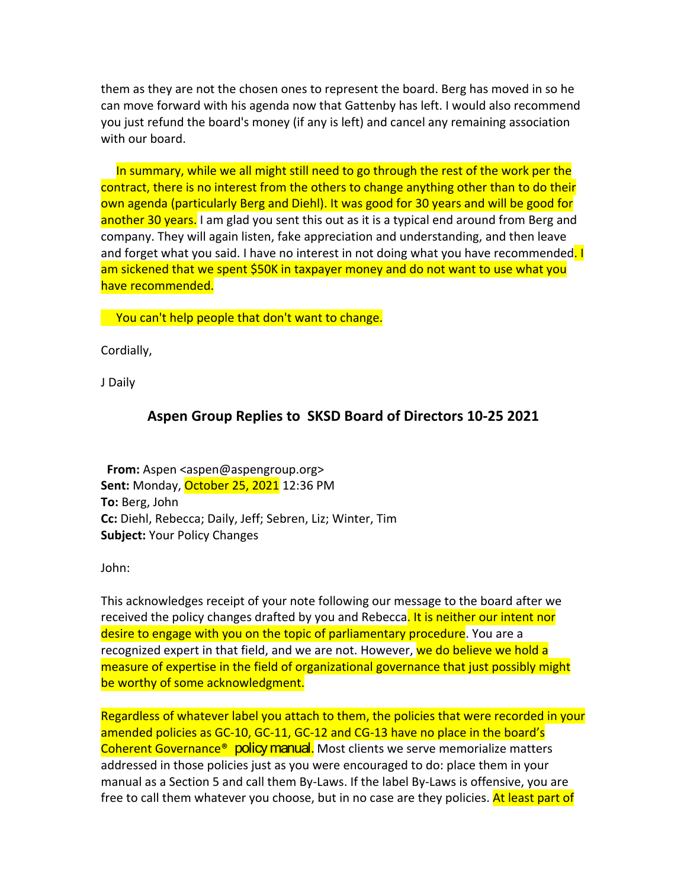them as they are not the chosen ones to represent the board. Berg has moved in so he can move forward with his agenda now that Gattenby has left. I would also recommend you just refund the board's money (if any is left) and cancel any remaining association with our board.

 In summary, while we all might still need to go through the rest of the work per the contract, there is no interest from the others to change anything other than to do their own agenda (particularly Berg and Diehl). It was good for 30 years and will be good for another 30 years. I am glad you sent this out as it is a typical end around from Berg and company. They will again listen, fake appreciation and understanding, and then leave and forget what you said. I have no interest in not doing what you have recommended. I am sickened that we spent \$50K in taxpayer money and do not want to use what you have recommended.

You can't help people that don't want to change.

Cordially,

J Daily

#### **Aspen Group Replies to SKSD Board of Directors 10‐25 2021**

**From:** Aspen <aspen@aspengroup.org> **Sent:** Monday, October 25, 2021 12:36 PM **To:** Berg, John **Cc:** Diehl, Rebecca; Daily, Jeff; Sebren, Liz; Winter, Tim **Subject:** Your Policy Changes

John:

This acknowledges receipt of your note following our message to the board after we received the policy changes drafted by you and Rebecca. It is neither our intent nor desire to engage with you on the topic of parliamentary procedure. You are a recognized expert in that field, and we are not. However, we do believe we hold a measure of expertise in the field of organizational governance that just possibly might be worthy of some acknowledgment.

Regardless of whatever label you attach to them, the policies that were recorded in your amended policies as GC‐10, GC‐11, GC‐12 and CG‐13 have no place in the board's Coherent Governance<sup>®</sup> policy manual. Most clients we serve memorialize matters addressed in those policies just as you were encouraged to do: place them in your manual as a Section 5 and call them By‐Laws. If the label By‐Laws is offensive, you are free to call them whatever you choose, but in no case are they policies. At least part of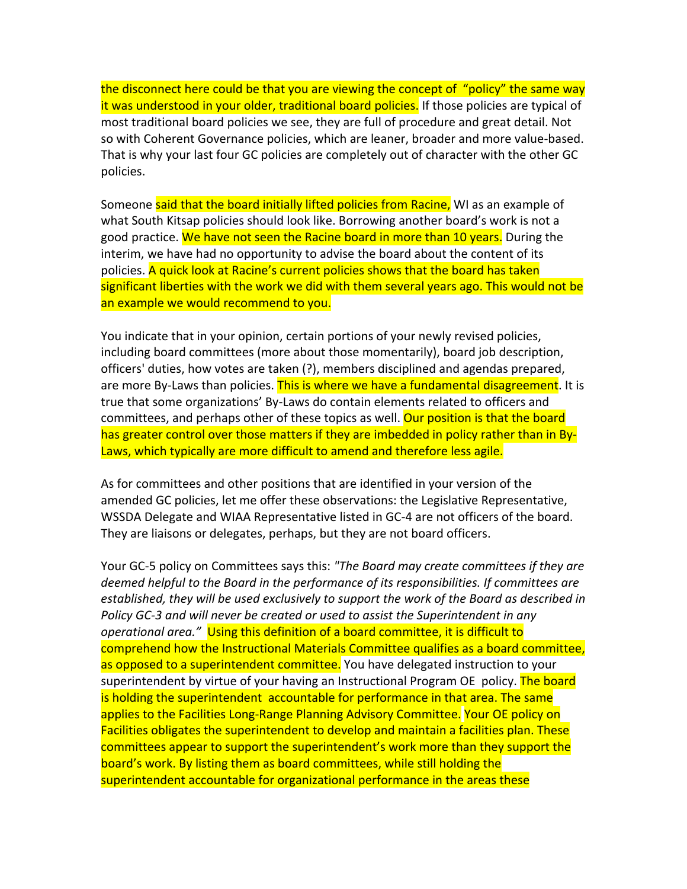the disconnect here could be that you are viewing the concept of "policy" the same way it was understood in your older, traditional board policies. If those policies are typical of most traditional board policies we see, they are full of procedure and great detail. Not so with Coherent Governance policies, which are leaner, broader and more value‐based. That is why your last four GC policies are completely out of character with the other GC policies.

Someone said that the board initially lifted policies from Racine, WI as an example of what South Kitsap policies should look like. Borrowing another board's work is not a good practice. We have not seen the Racine board in more than 10 years. During the interim, we have had no opportunity to advise the board about the content of its policies. A quick look at Racine's current policies shows that the board has taken significant liberties with the work we did with them several years ago. This would not be an example we would recommend to you.

You indicate that in your opinion, certain portions of your newly revised policies, including board committees (more about those momentarily), board job description, officers' duties, how votes are taken (?), members disciplined and agendas prepared, are more By-Laws than policies. This is where we have a fundamental disagreement. It is true that some organizations' By‐Laws do contain elements related to officers and committees, and perhaps other of these topics as well. Our position is that the board has greater control over those matters if they are imbedded in policy rather than in By-Laws, which typically are more difficult to amend and therefore less agile.

As for committees and other positions that are identified in your version of the amended GC policies, let me offer these observations: the Legislative Representative, WSSDA Delegate and WIAA Representative listed in GC‐4 are not officers of the board. They are liaisons or delegates, perhaps, but they are not board officers.

Your GC‐5 policy on Committees says this: *"The Board may create committees if they are deemed helpful to the Board in the performance of its responsibilities. If committees are established, they will be used exclusively to support the work of the Board as described in Policy GC‐3 and will never be created or used to assist the Superintendent in any operational area."* Using this definition of a board committee, it is difficult to comprehend how the Instructional Materials Committee qualifies as a board committee, as opposed to a superintendent committee. You have delegated instruction to your superintendent by virtue of your having an Instructional Program OE policy. The board is holding the superintendent accountable for performance in that area. The same applies to the Facilities Long‐Range Planning Advisory Committee. Your OE policy on Facilities obligates the superintendent to develop and maintain a facilities plan. These committees appear to support the superintendent's work more than they support the board's work. By listing them as board committees, while still holding the superintendent accountable for organizational performance in the areas these